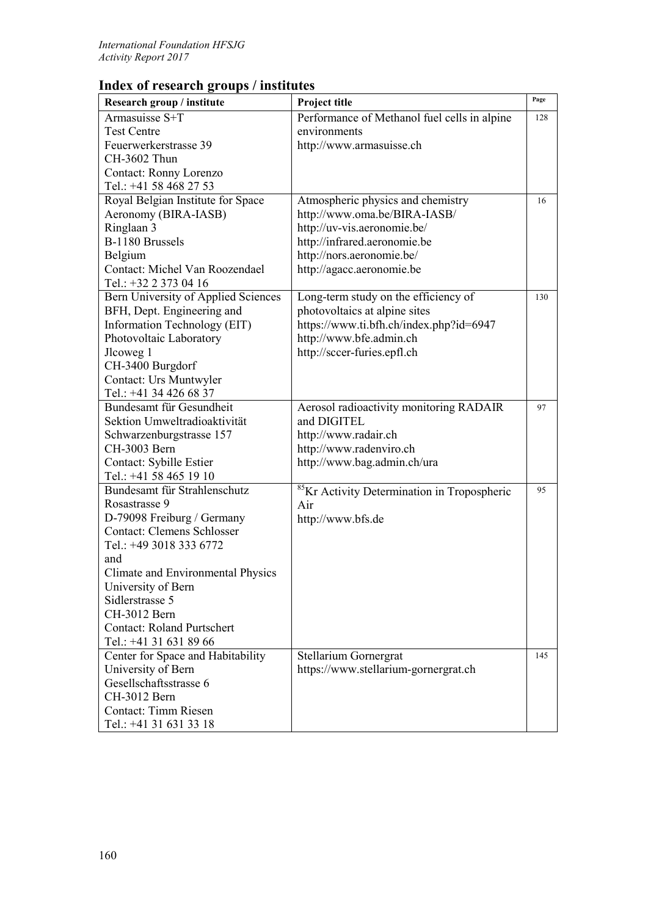## **Index of research groups / institutes**

| Research group / institute                        | Project title                                           | Page |
|---------------------------------------------------|---------------------------------------------------------|------|
| Armasuisse S+T                                    | Performance of Methanol fuel cells in alpine            | 128  |
| <b>Test Centre</b>                                | environments                                            |      |
| Feuerwerkerstrasse 39                             | http://www.armasuisse.ch                                |      |
| CH-3602 Thun                                      |                                                         |      |
| Contact: Ronny Lorenzo                            |                                                         |      |
| Tel.: +41 58 468 27 53                            |                                                         |      |
| Royal Belgian Institute for Space                 | Atmospheric physics and chemistry                       | 16   |
| Aeronomy (BIRA-IASB)                              | http://www.oma.be/BIRA-IASB/                            |      |
| Ringlaan 3                                        | http://uv-vis.aeronomie.be/                             |      |
| B-1180 Brussels                                   | http://infrared.aeronomie.be                            |      |
| Belgium                                           | http://nors.aeronomie.be/                               |      |
| Contact: Michel Van Roozendael                    | http://agacc.aeronomie.be                               |      |
| Tel.: +32 2 373 04 16                             |                                                         |      |
| Bern University of Applied Sciences               | Long-term study on the efficiency of                    | 130  |
| BFH, Dept. Engineering and                        | photovoltaics at alpine sites                           |      |
| Information Technology (EIT)                      | https://www.ti.bfh.ch/index.php?id=6947                 |      |
| Photovoltaic Laboratory                           | http://www.bfe.admin.ch                                 |      |
| Jlcoweg 1                                         | http://sccer-furies.epfl.ch                             |      |
| CH-3400 Burgdorf                                  |                                                         |      |
| Contact: Urs Muntwyler                            |                                                         |      |
| Tel.: +41 34 426 68 37                            |                                                         |      |
| Bundesamt für Gesundheit                          | Aerosol radioactivity monitoring RADAIR                 | 97   |
| Sektion Umweltradioaktivität                      | and DIGITEL                                             |      |
| Schwarzenburgstrasse 157<br>CH-3003 Bern          | http://www.radair.ch                                    |      |
|                                                   | http://www.radenviro.ch                                 |      |
| Contact: Sybille Estier<br>Tel.: +41 58 465 19 10 | http://www.bag.admin.ch/ura                             |      |
| Bundesamt für Strahlenschutz                      | <sup>85</sup> Kr Activity Determination in Tropospheric | 95   |
| Rosastrasse 9                                     | Air                                                     |      |
| D-79098 Freiburg / Germany                        | http://www.bfs.de                                       |      |
| <b>Contact: Clemens Schlosser</b>                 |                                                         |      |
| Tel.: +49 3018 333 6772                           |                                                         |      |
| and                                               |                                                         |      |
| Climate and Environmental Physics                 |                                                         |      |
| University of Bern                                |                                                         |      |
| Sidlerstrasse 5                                   |                                                         |      |
| CH-3012 Bern                                      |                                                         |      |
| <b>Contact: Roland Purtschert</b>                 |                                                         |      |
| Tel.: +41 31 631 89 66                            |                                                         |      |
| Center for Space and Habitability                 | Stellarium Gornergrat                                   | 145  |
| University of Bern                                | https://www.stellarium-gornergrat.ch                    |      |
| Gesellschaftsstrasse 6                            |                                                         |      |
| CH-3012 Bern                                      |                                                         |      |
| Contact: Timm Riesen                              |                                                         |      |
| Tel.: +41 31 631 33 18                            |                                                         |      |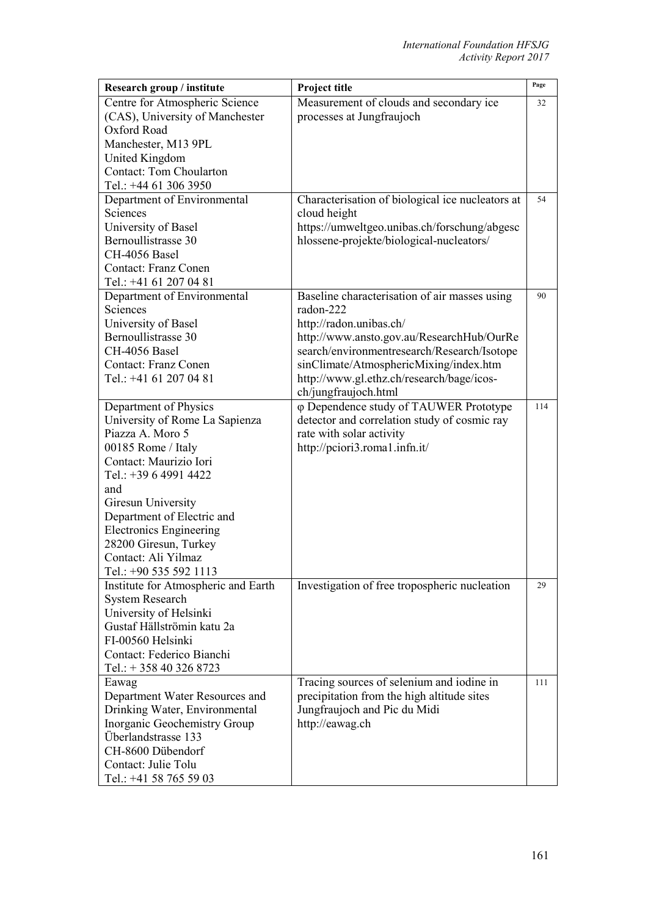| Research group / institute                       | Project title                                                    | Page |
|--------------------------------------------------|------------------------------------------------------------------|------|
| Centre for Atmospheric Science                   | Measurement of clouds and secondary ice                          | 32   |
| (CAS), University of Manchester                  | processes at Jungfraujoch                                        |      |
| Oxford Road                                      |                                                                  |      |
| Manchester, M13 9PL                              |                                                                  |      |
| United Kingdom                                   |                                                                  |      |
| <b>Contact: Tom Choularton</b>                   |                                                                  |      |
| Tel.: +44 61 306 3950                            |                                                                  | 54   |
| Department of Environmental<br>Sciences          | Characterisation of biological ice nucleators at<br>cloud height |      |
| University of Basel                              | https://umweltgeo.unibas.ch/forschung/abgesc                     |      |
| Bernoullistrasse 30                              | hlossene-projekte/biological-nucleators/                         |      |
| CH-4056 Basel                                    |                                                                  |      |
| <b>Contact: Franz Conen</b>                      |                                                                  |      |
| Tel.: +41 61 207 04 81                           |                                                                  |      |
| Department of Environmental                      | Baseline characterisation of air masses using                    | 90   |
| Sciences                                         | radon-222                                                        |      |
| University of Basel                              | http://radon.unibas.ch/                                          |      |
| Bernoullistrasse 30                              | http://www.ansto.gov.au/ResearchHub/OurRe                        |      |
| CH-4056 Basel                                    | search/environmentresearch/Research/Isotope                      |      |
| <b>Contact: Franz Conen</b>                      | sinClimate/AtmosphericMixing/index.htm                           |      |
| Tel.: +41 61 207 04 81                           | http://www.gl.ethz.ch/research/bage/icos-                        |      |
|                                                  | ch/jungfraujoch.html                                             |      |
| Department of Physics                            | φ Dependence study of TAUWER Prototype                           | 114  |
| University of Rome La Sapienza                   | detector and correlation study of cosmic ray                     |      |
| Piazza A. Moro 5                                 | rate with solar activity                                         |      |
| 00185 Rome / Italy                               | http://pciori3.roma1.infn.it/                                    |      |
| Contact: Maurizio Iori                           |                                                                  |      |
| Tel.: +39 6 4991 4422                            |                                                                  |      |
| and                                              |                                                                  |      |
| Giresun University<br>Department of Electric and |                                                                  |      |
| <b>Electronics Engineering</b>                   |                                                                  |      |
| 28200 Giresun, Turkey                            |                                                                  |      |
| Contact: Ali Yilmaz                              |                                                                  |      |
| Tel.: +90 535 592 1113                           |                                                                  |      |
| Institute for Atmospheric and Earth              | Investigation of free tropospheric nucleation                    | 29   |
| <b>System Research</b>                           |                                                                  |      |
| University of Helsinki                           |                                                                  |      |
| Gustaf Hällströmin katu 2a                       |                                                                  |      |
| FI-00560 Helsinki                                |                                                                  |      |
| Contact: Federico Bianchi                        |                                                                  |      |
| Tel.: $+ 358403268723$                           |                                                                  |      |
| Eawag                                            | Tracing sources of selenium and iodine in                        | 111  |
| Department Water Resources and                   | precipitation from the high altitude sites                       |      |
| Drinking Water, Environmental                    | Jungfraujoch and Pic du Midi                                     |      |
| Inorganic Geochemistry Group                     | http://eawag.ch                                                  |      |
| Überlandstrasse 133                              |                                                                  |      |
| CH-8600 Dübendorf                                |                                                                  |      |
| Contact: Julie Tolu                              |                                                                  |      |
| Tel.: +41 58 765 59 03                           |                                                                  |      |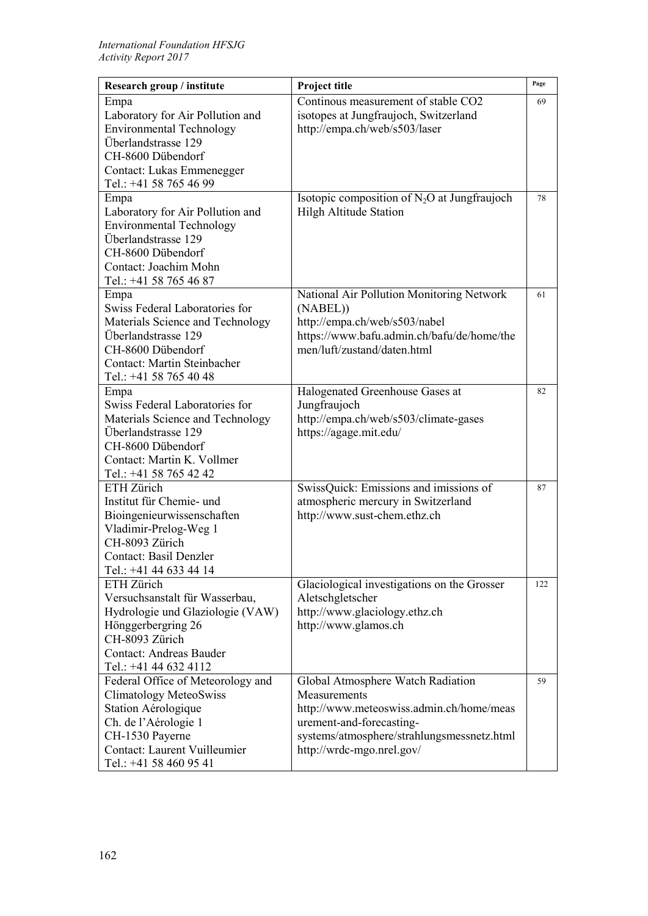| Research group / institute                    | Project title                                  | Page |
|-----------------------------------------------|------------------------------------------------|------|
| Empa                                          | Continous measurement of stable CO2            | 69   |
| Laboratory for Air Pollution and              | isotopes at Jungfraujoch, Switzerland          |      |
| <b>Environmental Technology</b>               | http://empa.ch/web/s503/laser                  |      |
| Überlandstrasse 129                           |                                                |      |
| CH-8600 Dübendorf                             |                                                |      |
| Contact: Lukas Emmenegger                     |                                                |      |
| Tel.: +41 58 765 46 99                        |                                                |      |
| Empa                                          | Isotopic composition of $N_2O$ at Jungfraujoch | 78   |
| Laboratory for Air Pollution and              | <b>Hilgh Altitude Station</b>                  |      |
| <b>Environmental Technology</b>               |                                                |      |
| Überlandstrasse 129                           |                                                |      |
| CH-8600 Dübendorf                             |                                                |      |
| Contact: Joachim Mohn                         |                                                |      |
| Tel.: +41 58 765 46 87                        |                                                |      |
| Empa                                          | National Air Pollution Monitoring Network      | 61   |
| Swiss Federal Laboratories for                | (NABEL))                                       |      |
| Materials Science and Technology              | http://empa.ch/web/s503/nabel                  |      |
| Überlandstrasse 129                           | https://www.bafu.admin.ch/bafu/de/home/the     |      |
| CH-8600 Dübendorf                             | men/luft/zustand/daten.html                    |      |
| <b>Contact: Martin Steinbacher</b>            |                                                |      |
| Tel.: +41 58 765 40 48                        |                                                |      |
| Empa                                          | Halogenated Greenhouse Gases at                | 82   |
| Swiss Federal Laboratories for                | Jungfraujoch                                   |      |
| Materials Science and Technology              | http://empa.ch/web/s503/climate-gases          |      |
| Überlandstrasse 129                           | https://agage.mit.edu/                         |      |
| CH-8600 Dübendorf                             |                                                |      |
| Contact: Martin K. Vollmer                    |                                                |      |
| Tel.: +41 58 765 42 42                        |                                                |      |
| ETH Zürich                                    | SwissQuick: Emissions and imissions of         | 87   |
| Institut für Chemie- und                      | atmospheric mercury in Switzerland             |      |
| Bioingenieurwissenschaften                    | http://www.sust-chem.ethz.ch                   |      |
| Vladimir-Prelog-Weg 1                         |                                                |      |
| CH-8093 Zürich                                |                                                |      |
| <b>Contact: Basil Denzler</b>                 |                                                |      |
| Tel.: +41 44 633 44 14                        |                                                |      |
| ETH Zürich                                    | Glaciological investigations on the Grosser    | 122  |
| Versuchsanstalt für Wasserbau,                | Aletschgletscher                               |      |
| Hydrologie und Glaziologie (VAW)              | http://www.glaciology.ethz.ch                  |      |
| Hönggerbergring 26<br>CH-8093 Zürich          | http://www.glamos.ch                           |      |
| <b>Contact: Andreas Bauder</b>                |                                                |      |
| Tel.: +41 44 632 4112                         |                                                |      |
| Federal Office of Meteorology and             | Global Atmosphere Watch Radiation              | 59   |
|                                               | Measurements                                   |      |
| Climatology MeteoSwiss<br>Station Aérologique | http://www.meteoswiss.admin.ch/home/meas       |      |
| Ch. de l'Aérologie 1                          | urement-and-forecasting-                       |      |
| CH-1530 Payerne                               | systems/atmosphere/strahlungsmessnetz.html     |      |
| <b>Contact: Laurent Vuilleumier</b>           | http://wrdc-mgo.nrel.gov/                      |      |
| Tel.: +41 58 460 95 41                        |                                                |      |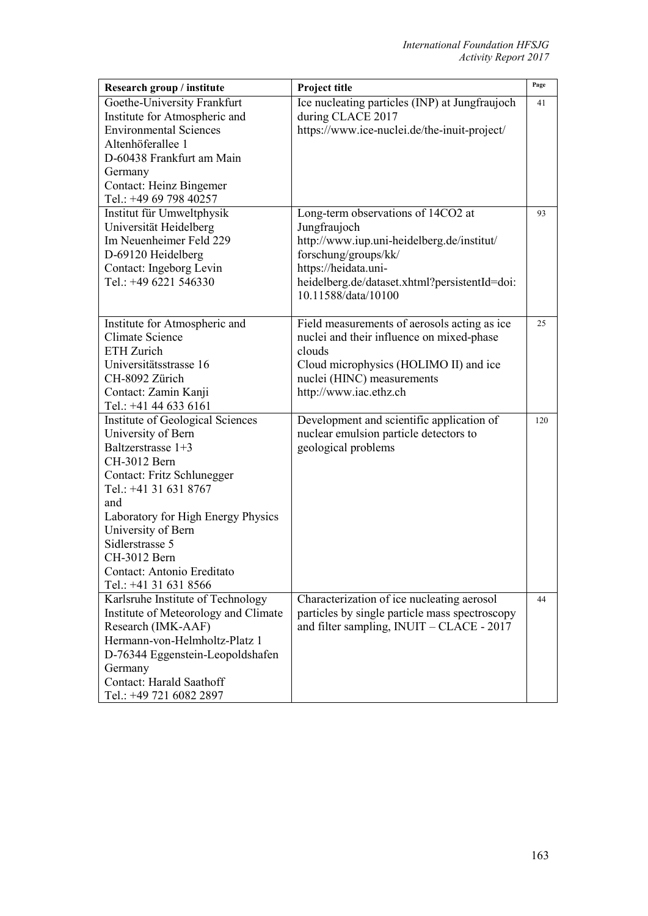| Research group / institute                    | Project title                                  | Page |
|-----------------------------------------------|------------------------------------------------|------|
| Goethe-University Frankfurt                   | Ice nucleating particles (INP) at Jungfraujoch | 41   |
| Institute for Atmospheric and                 | during CLACE 2017                              |      |
| <b>Environmental Sciences</b>                 | https://www.ice-nuclei.de/the-inuit-project/   |      |
| Altenhöferallee 1                             |                                                |      |
| D-60438 Frankfurt am Main                     |                                                |      |
| Germany                                       |                                                |      |
| <b>Contact: Heinz Bingemer</b>                |                                                |      |
| Tel.: +49 69 798 40257                        |                                                |      |
| Institut für Umweltphysik                     | Long-term observations of 14CO2 at             | 93   |
| Universität Heidelberg                        | Jungfraujoch                                   |      |
| Im Neuenheimer Feld 229                       | http://www.iup.uni-heidelberg.de/institut/     |      |
| D-69120 Heidelberg<br>Contact: Ingeborg Levin | forschung/groups/kk/<br>https://heidata.uni-   |      |
| Tel.: +49 6221 546330                         | heidelberg.de/dataset.xhtml?persistentId=doi:  |      |
|                                               | 10.11588/data/10100                            |      |
|                                               |                                                |      |
| Institute for Atmospheric and                 | Field measurements of aerosols acting as ice   | 25   |
| <b>Climate Science</b>                        | nuclei and their influence on mixed-phase      |      |
| ETH Zurich                                    | clouds                                         |      |
| Universitätsstrasse 16                        | Cloud microphysics (HOLIMO II) and ice         |      |
| CH-8092 Zürich                                | nuclei (HINC) measurements                     |      |
| Contact: Zamin Kanji                          | http://www.iac.ethz.ch                         |      |
| Tel.: +41 44 633 6161                         |                                                |      |
| Institute of Geological Sciences              | Development and scientific application of      | 120  |
| University of Bern                            | nuclear emulsion particle detectors to         |      |
| Baltzerstrasse 1+3                            | geological problems                            |      |
| CH-3012 Bern                                  |                                                |      |
| Contact: Fritz Schlunegger                    |                                                |      |
| Tel.: +41 31 631 8767                         |                                                |      |
| and                                           |                                                |      |
| Laboratory for High Energy Physics            |                                                |      |
| University of Bern                            |                                                |      |
| Sidlerstrasse 5                               |                                                |      |
| CH-3012 Bern<br>Contact: Antonio Ereditato    |                                                |      |
| Tel.: +41 31 631 8566                         |                                                |      |
| Karlsruhe Institute of Technology             | Characterization of ice nucleating aerosol     | 44   |
| Institute of Meteorology and Climate          | particles by single particle mass spectroscopy |      |
| Research (IMK-AAF)                            | and filter sampling, $INUIT - CLACE - 2017$    |      |
| Hermann-von-Helmholtz-Platz 1                 |                                                |      |
| D-76344 Eggenstein-Leopoldshafen              |                                                |      |
| Germany                                       |                                                |      |
| Contact: Harald Saathoff                      |                                                |      |
| Tel.: +49 721 6082 2897                       |                                                |      |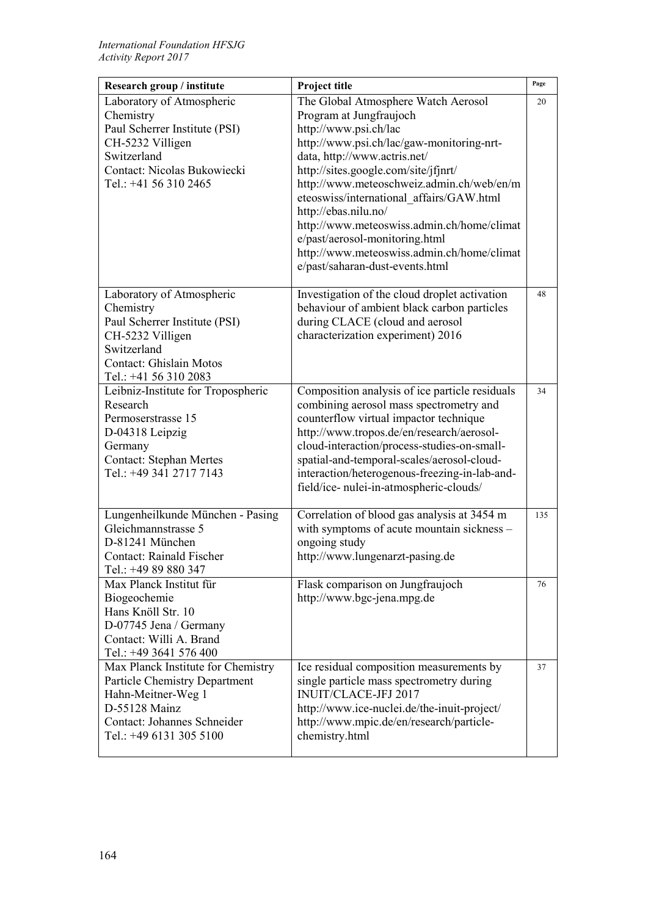| Research group / institute                                                                                                                                                                      | Project title                                                                                                                                                                                                                                                                                                                                                                                                                                                                                                                                   | Page     |
|-------------------------------------------------------------------------------------------------------------------------------------------------------------------------------------------------|-------------------------------------------------------------------------------------------------------------------------------------------------------------------------------------------------------------------------------------------------------------------------------------------------------------------------------------------------------------------------------------------------------------------------------------------------------------------------------------------------------------------------------------------------|----------|
| Laboratory of Atmospheric<br>Chemistry<br>Paul Scherrer Institute (PSI)<br>CH-5232 Villigen<br>Switzerland<br>Contact: Nicolas Bukowiecki<br>Tel.: +41 56 310 2465<br>Laboratory of Atmospheric | The Global Atmosphere Watch Aerosol<br>Program at Jungfraujoch<br>http://www.psi.ch/lac<br>http://www.psi.ch/lac/gaw-monitoring-nrt-<br>data, http://www.actris.net/<br>http://sites.google.com/site/jfjnrt/<br>http://www.meteoschweiz.admin.ch/web/en/m<br>eteoswiss/international affairs/GAW.html<br>http://ebas.nilu.no/<br>http://www.meteoswiss.admin.ch/home/climat<br>e/past/aerosol-monitoring.html<br>http://www.meteoswiss.admin.ch/home/climat<br>e/past/saharan-dust-events.html<br>Investigation of the cloud droplet activation | 20<br>48 |
| Chemistry<br>Paul Scherrer Institute (PSI)<br>CH-5232 Villigen<br>Switzerland<br><b>Contact: Ghislain Motos</b><br>Tel.: +41 56 310 2083                                                        | behaviour of ambient black carbon particles<br>during CLACE (cloud and aerosol<br>characterization experiment) 2016                                                                                                                                                                                                                                                                                                                                                                                                                             |          |
| Leibniz-Institute for Tropospheric<br>Research<br>Permoserstrasse 15<br>D-04318 Leipzig<br>Germany<br><b>Contact: Stephan Mertes</b><br>Tel.: +49 341 2717 7143                                 | Composition analysis of ice particle residuals<br>combining aerosol mass spectrometry and<br>counterflow virtual impactor technique<br>http://www.tropos.de/en/research/aerosol-<br>cloud-interaction/process-studies-on-small-<br>spatial-and-temporal-scales/aerosol-cloud-<br>interaction/heterogenous-freezing-in-lab-and-<br>field/ice- nulei-in-atmospheric-clouds/                                                                                                                                                                       | 34       |
| Lungenheilkunde München - Pasing<br>Gleichmannstrasse 5<br>D-81241 München<br><b>Contact: Rainald Fischer</b><br>Tel.: +49 89 880 347                                                           | Correlation of blood gas analysis at 3454 m<br>with symptoms of acute mountain sickness -<br>ongoing study<br>http://www.lungenarzt-pasing.de                                                                                                                                                                                                                                                                                                                                                                                                   | 135      |
| Max Planck Institut für<br>Biogeochemie<br>Hans Knöll Str. 10<br>D-07745 Jena / Germany<br>Contact: Willi A. Brand<br>Tel.: +49 3641 576 400                                                    | Flask comparison on Jungfraujoch<br>http://www.bgc-jena.mpg.de                                                                                                                                                                                                                                                                                                                                                                                                                                                                                  | 76       |
| Max Planck Institute for Chemistry<br>Particle Chemistry Department<br>Hahn-Meitner-Weg 1<br>D-55128 Mainz<br>Contact: Johannes Schneider<br>Tel.: +49 6131 305 5100                            | Ice residual composition measurements by<br>single particle mass spectrometry during<br>INUIT/CLACE-JFJ 2017<br>http://www.ice-nuclei.de/the-inuit-project/<br>http://www.mpic.de/en/research/particle-<br>chemistry.html                                                                                                                                                                                                                                                                                                                       | 37       |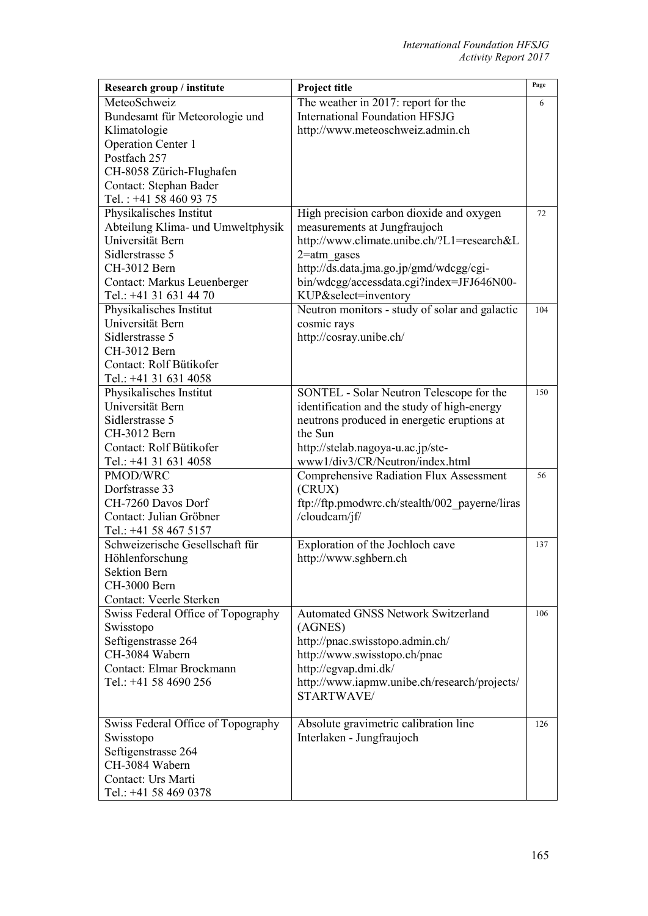| Research group / institute         | Project title                                  | Page |
|------------------------------------|------------------------------------------------|------|
| MeteoSchweiz                       | The weather in 2017: report for the            | 6    |
| Bundesamt für Meteorologie und     | <b>International Foundation HFSJG</b>          |      |
| Klimatologie                       | http://www.meteoschweiz.admin.ch               |      |
| <b>Operation Center 1</b>          |                                                |      |
| Postfach 257                       |                                                |      |
| CH-8058 Zürich-Flughafen           |                                                |      |
| Contact: Stephan Bader             |                                                |      |
| Tel.: +41 58 460 93 75             |                                                |      |
| Physikalisches Institut            | High precision carbon dioxide and oxygen       | 72   |
| Abteilung Klima- und Umweltphysik  | measurements at Jungfraujoch                   |      |
| Universität Bern                   | http://www.climate.unibe.ch/?L1=research&L     |      |
| Sidlerstrasse 5                    | $2$ =atm gases                                 |      |
| CH-3012 Bern                       | http://ds.data.jma.go.jp/gmd/wdcgg/cgi-        |      |
| Contact: Markus Leuenberger        | bin/wdcgg/accessdata.cgi?index=JFJ646N00-      |      |
| Tel.: +41 31 631 44 70             | KUP&select=inventory                           |      |
| Physikalisches Institut            | Neutron monitors - study of solar and galactic | 104  |
| Universität Bern                   | cosmic rays                                    |      |
| Sidlerstrasse 5                    | http://cosray.unibe.ch/                        |      |
| CH-3012 Bern                       |                                                |      |
| Contact: Rolf Bütikofer            |                                                |      |
| Tel.: +41 31 631 4058              |                                                |      |
| Physikalisches Institut            | SONTEL - Solar Neutron Telescope for the       | 150  |
| Universität Bern                   | identification and the study of high-energy    |      |
| Sidlerstrasse 5                    | neutrons produced in energetic eruptions at    |      |
| CH-3012 Bern                       | the Sun                                        |      |
| Contact: Rolf Bütikofer            | http://stelab.nagoya-u.ac.jp/ste-              |      |
| Tel.: +41 31 631 4058              | www1/div3/CR/Neutron/index.html                |      |
| PMOD/WRC                           | Comprehensive Radiation Flux Assessment        | 56   |
| Dorfstrasse 33                     | (CRUX)                                         |      |
| CH-7260 Davos Dorf                 | ftp://ftp.pmodwrc.ch/stealth/002_payerne/liras |      |
| Contact: Julian Gröbner            | /cloudcam/jf/                                  |      |
| Tel.: +41 58 467 5157              |                                                |      |
| Schweizerische Gesellschaft für    | Exploration of the Jochloch cave               | 137  |
| Höhlenforschung                    | http://www.sghbern.ch                          |      |
| <b>Sektion Bern</b>                |                                                |      |
| CH-3000 Bern                       |                                                |      |
| Contact: Veerle Sterken            |                                                |      |
| Swiss Federal Office of Topography | <b>Automated GNSS Network Switzerland</b>      | 106  |
| Swisstopo                          | (AGNES)                                        |      |
| Seftigenstrasse 264                | http://pnac.swisstopo.admin.ch/                |      |
| CH-3084 Wabern                     | http://www.swisstopo.ch/pnac                   |      |
| Contact: Elmar Brockmann           | http://egvap.dmi.dk/                           |      |
| Tel.: +41 58 4690 256              | http://www.iapmw.unibe.ch/research/projects/   |      |
|                                    | STARTWAVE/                                     |      |
|                                    |                                                |      |
| Swiss Federal Office of Topography | Absolute gravimetric calibration line          | 126  |
| Swisstopo                          | Interlaken - Jungfraujoch                      |      |
| Seftigenstrasse 264                |                                                |      |
| CH-3084 Wabern                     |                                                |      |
| Contact: Urs Marti                 |                                                |      |
| Tel.: +41 58 469 0378              |                                                |      |